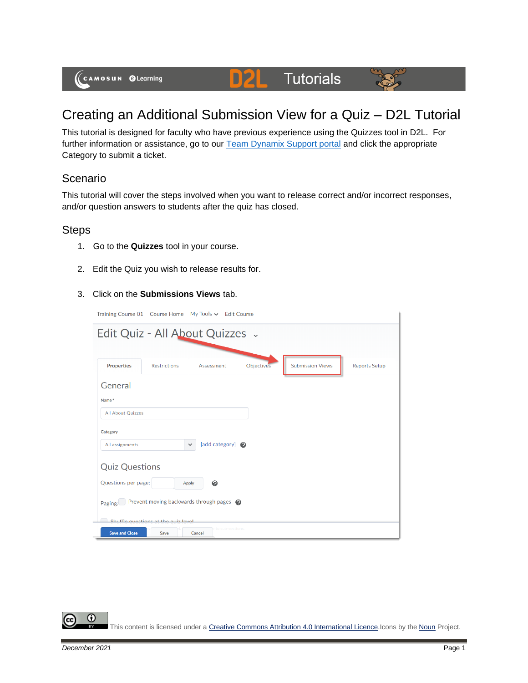(CAMOSUN @Learning

# Creating an Additional Submission View for a Quiz – D2L Tutorial

**Tutorials** 

This tutorial is designed for faculty who have previous experience using the Quizzes tool in D2L. For further information or assistance, go to our [Team Dynamix Support portal](https://camosun.teamdynamix.com/TDClient/67/Portal/Requests/ServiceCatalog?CategoryID=523) and click the appropriate Category to submit a ticket.

DZI

### Scenario

This tutorial will cover the steps involved when you want to release correct and/or incorrect responses, and/or question answers to students after the quiz has closed.

#### Steps

- 1. Go to the **Quizzes** tool in your course.
- 2. Edit the Quiz you wish to release results for.
- 3. Click on the **Submissions Views** tab.

|                          | Training Course 01 Course Home My Tools v Edit Course |                  |            |                         |                      |
|--------------------------|-------------------------------------------------------|------------------|------------|-------------------------|----------------------|
|                          | Edit Quiz - All About Quizzes .                       |                  |            |                         |                      |
|                          |                                                       |                  |            |                         |                      |
| <b>Properties</b>        | <b>Restrictions</b>                                   | Assessment       | Objectives | <b>Submission Views</b> | <b>Reports Setup</b> |
| General                  |                                                       |                  |            |                         |                      |
| Name*                    |                                                       |                  |            |                         |                      |
| <b>All About Quizzes</b> |                                                       |                  |            |                         |                      |
| Category                 |                                                       |                  |            |                         |                      |
| All assignments          | $\checkmark$                                          | [add category] @ |            |                         |                      |
| <b>Quiz Questions</b>    |                                                       |                  |            |                         |                      |
| Questions per page:      | <b>Apply</b>                                          | ℯ                |            |                         |                      |
| Paging:                  | Prevent moving backwards through pages @              |                  |            |                         |                      |
|                          | Shuffle questions at the quiz level                   | to sub-sections. |            |                         |                      |
| <b>Save and Close</b>    | Save                                                  | Cancel           |            |                         |                      |

0 This content is licensed under [a Creative Commons Attribution 4.0 International Licence.I](https://creativecommons.org/licenses/by/4.0/)cons by the [Noun](https://creativecommons.org/website-icons/) Project.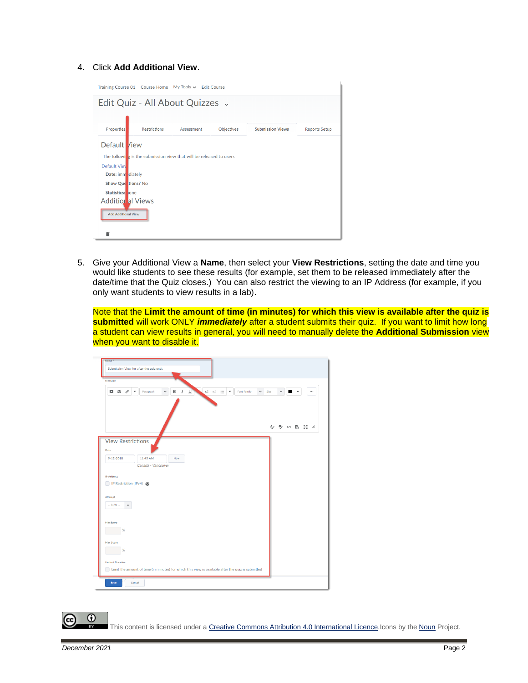#### 4. Click **Add Additional View**.

|                            | Training Course 01 Course Home My Tools v Edit Course               |            |            |                         |                      |
|----------------------------|---------------------------------------------------------------------|------------|------------|-------------------------|----------------------|
|                            | Edit Quiz - All About Quizzes .                                     |            |            |                         |                      |
|                            |                                                                     |            |            |                         |                      |
| <b>Properties</b>          | <b>Restrictions</b>                                                 | Assessment | Objectives | <b>Submission Views</b> | <b>Reports Setup</b> |
| Default /iew               |                                                                     |            |            |                         |                      |
|                            | The following is the submission view that will be released to users |            |            |                         |                      |
| <b>Default View</b>        |                                                                     |            |            |                         |                      |
| Date: imm diately          |                                                                     |            |            |                         |                      |
| Show Que tions? No         |                                                                     |            |            |                         |                      |
| Statistics: hone           |                                                                     |            |            |                         |                      |
| <b>Additional Views</b>    |                                                                     |            |            |                         |                      |
| <b>Add Additional View</b> |                                                                     |            |            |                         |                      |
| ▬                          |                                                                     |            |            |                         |                      |

5. Give your Additional View a **Name**, then select your **View Restrictions**, setting the date and time you would like students to see these results (for example, set them to be released immediately after the date/time that the Quiz closes.) You can also restrict the viewing to an IP Address (for example, if you only want students to view results in a lab).

Note that the **Limit the amount of time (in minutes) for which this view is available after the quiz is submitted** will work ONLY *immediately* after a student submits their quiz. If you want to limit how long a student can view results in general, you will need to manually delete the **Additional Submission** view when you want to disable it.

| Message                                                                                                                                                                                |      |             |   |                          |          |
|----------------------------------------------------------------------------------------------------------------------------------------------------------------------------------------|------|-------------|---|--------------------------|----------|
| Q.<br>$\mathsf B$<br>$\cup$<br>$\sigma^{\rho}$<br>$\cal I$<br>三目<br>$\Box$<br>Paragraph<br>$\check{~}$<br>Font Family<br>$\checkmark$<br>G<br>$\mathbf{v}$<br>$\overline{\phantom{a}}$ | Size | $\check{~}$ | п | $\overline{\phantom{a}}$ | $\cdots$ |
|                                                                                                                                                                                        |      |             |   | A) シ の 民 N /             |          |
| <b>View Restrictions</b><br>Date<br>11:45 AM<br>$9 - 12 - 2018$<br>Now<br>Canada - Vancouver                                                                                           |      |             |   |                          |          |
| <b>IP Address</b><br>IP Restriction (IPv4) @                                                                                                                                           |      |             |   |                          |          |
| Attempt<br>$\cdots N/A \cdots$<br>$\checkmark$                                                                                                                                         |      |             |   |                          |          |
| Min Score<br>$\frac{9}{6}$                                                                                                                                                             |      |             |   |                          |          |
| <b>Max Score</b>                                                                                                                                                                       |      |             |   |                          |          |
| %                                                                                                                                                                                      |      |             |   |                          |          |

This content is licensed under [a Creative Commons Attribution 4.0 International Licence.I](https://creativecommons.org/licenses/by/4.0/)cons by the [Noun](https://creativecommons.org/website-icons/) Project.

 $\odot$